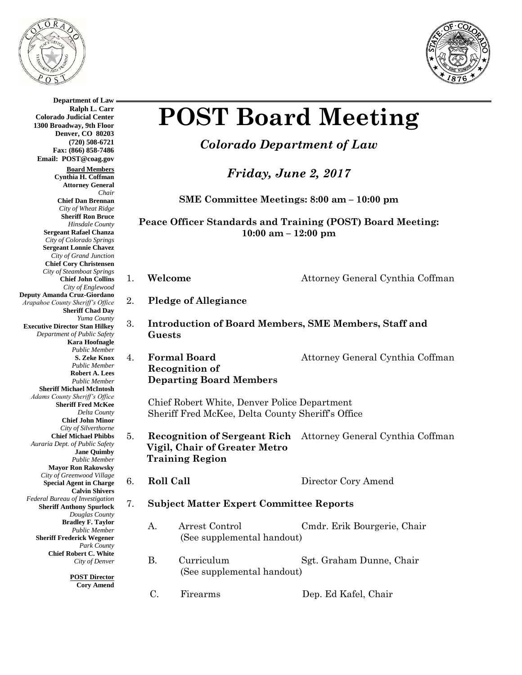

**Department of Law**



## **POST Board Meeting**

*Colorado Department of Law*

*Friday, June 2, 2017*

**SME Committee Meetings: 8:00 am – 10:00 pm**

**Peace Officer Standards and Training (POST) Board Meeting: 10:00 am – 12:00 pm**

- 1. **Welcome Attorney General Cynthia Coffman**
- 2. **Pledge of Allegiance**
- 3. **Introduction of Board Members, SME Members, Staff and Guests**
- 4. **Formal Board** Attorney General Cynthia Coffman **Recognition of Departing Board Members**

Chief Robert White, Denver Police Department

- Sheriff Fred McKee, Delta County Sheriff's Office
- 5. **Recognition of Sergeant Rich** Attorney General Cynthia Coffman  **Vigil, Chair of Greater Metro Training Region**
- 6. **Roll Call** Director Cory Amend
- 7. **Subject Matter Expert Committee Reports**
	- A. Arrest Control Cmdr. Erik Bourgerie, Chair (See supplemental handout)
	- B. Curriculum Sgt. Graham Dunne, Chair (See supplemental handout)
		- C. Firearms Dep. Ed Kafel, Chair

**Ralph L. Carr Colorado Judicial Center 1300 Broadway, 9th Floor Denver, CO 80203 (720) 508-6721 Fax: (866) 858-7486 Email: POST@coag.gov Board Members Cynthia H. Coffman Attorney General** *Chair* **Chief Dan Brennan** *City of Wheat Ridge* **Sheriff Ron Bruce** *Hinsdale County* **Sergeant Rafael Chanza** *City of Colorado Springs* **Sergeant Lonnie Chavez** *City of Grand Junction* **Chief Cory Christensen** *City of Steamboat Springs* **Chief John Collins** *City of Englewood* **Deputy Amanda Cruz-Giordano** *Arapahoe County Sheriff's Office* **Sheriff Chad Day** *Yuma County* **Executive Director Stan Hilkey** *Department of Public Safety* **Kara Hoofnagle** *Public Member* **S. Zeke Knox** *Public Member* **Robert A. Lees** *Public Member* **Sheriff Michael McIntosh** *Adams County Sheriff's Office* **Sheriff Fred McKee** *Delta County* **Chief John Minor** *City of Silverthorne* **Chief Michael Phibbs** *Auraria Dept. of Public Safety* **Jane Quimby** *Public Member* **Mayor Ron Rakowsky** *City of Greenwood Village* **Special Agent in Charge Calvin Shivers** *Federal Bureau of Investigation* **Sheriff Anthony Spurlock** *Douglas County* **Bradley F. Taylor** *Public Member* **Sheriff Frederick Wegener** *Park County* **Chief Robert C. White** *City of Denver*

> **POST Director Cory Amend**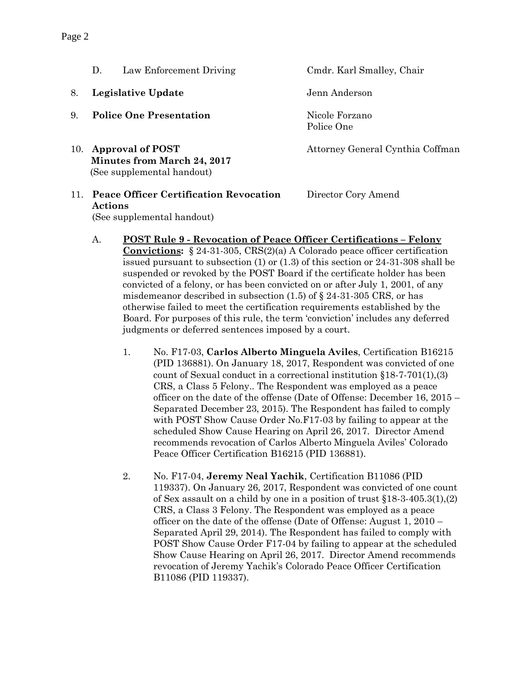|     | Law Enforcement Driving<br>D.                                                               | Cmdr. Karl Smalley, Chair        |
|-----|---------------------------------------------------------------------------------------------|----------------------------------|
| 8.  | Legislative Update                                                                          | Jenn Anderson                    |
| 9.  | <b>Police One Presentation</b>                                                              | Nicole Forzano<br>Police One     |
| 10. | <b>Approval of POST</b><br><b>Minutes from March 24, 2017</b><br>(See supplemental handout) | Attorney General Cynthia Coffman |
| 11. | <b>Peace Officer Certification Revocation</b><br>Actions<br>(See supplemental handout)      | Director Cory Amend              |

- A. **POST Rule 9 - Revocation of Peace Officer Certifications – Felony Convictions:** § 24-31-305, CRS(2)(a) A Colorado peace officer certification issued pursuant to subsection (1) or (1.3) of this section or 24-31-308 shall be suspended or revoked by the POST Board if the certificate holder has been convicted of a felony, or has been convicted on or after July 1, 2001, of any misdemeanor described in subsection  $(1.5)$  of  $\S$  24-31-305 CRS, or has otherwise failed to meet the certification requirements established by the Board. For purposes of this rule, the term 'conviction' includes any deferred judgments or deferred sentences imposed by a court.
	- 1. No. F17-03, **Carlos Alberto Minguela Aviles**, Certification B16215 (PID 136881). On January 18, 2017, Respondent was convicted of one count of Sexual conduct in a correctional institution §18-7-701(1),(3) CRS, a Class 5 Felony.. The Respondent was employed as a peace officer on the date of the offense (Date of Offense: December 16, 2015 – Separated December 23, 2015). The Respondent has failed to comply with POST Show Cause Order No.F17-03 by failing to appear at the scheduled Show Cause Hearing on April 26, 2017. Director Amend recommends revocation of Carlos Alberto Minguela Aviles' Colorado Peace Officer Certification B16215 (PID 136881).
	- 2. No. F17-04, **Jeremy Neal Yachik**, Certification B11086 (PID 119337). On January 26, 2017, Respondent was convicted of one count of Sex assault on a child by one in a position of trust  $\S 18-3-405.3(1)$ , (2) CRS, a Class 3 Felony. The Respondent was employed as a peace officer on the date of the offense (Date of Offense: August 1, 2010 – Separated April 29, 2014). The Respondent has failed to comply with POST Show Cause Order F17-04 by failing to appear at the scheduled Show Cause Hearing on April 26, 2017. Director Amend recommends revocation of Jeremy Yachik's Colorado Peace Officer Certification B11086 (PID 119337).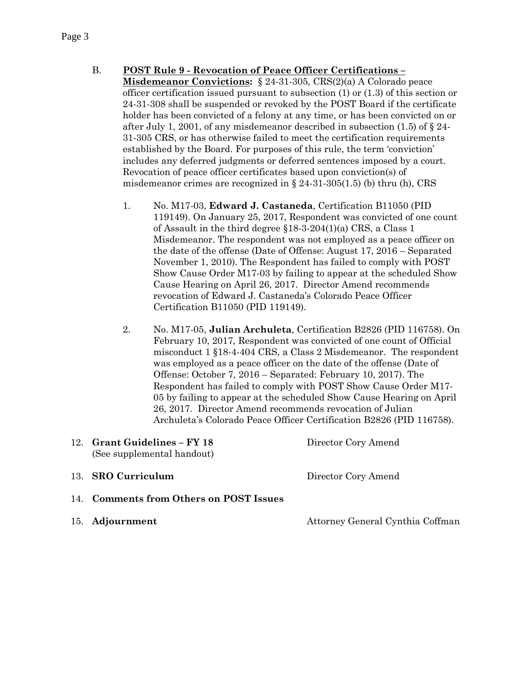- B. **POST Rule 9 - Revocation of Peace Officer Certifications –**
	- **Misdemeanor Convictions:** § 24-31-305, CRS(2)(a) A Colorado peace officer certification issued pursuant to subsection (1) or (1.3) of this section or 24-31-308 shall be suspended or revoked by the POST Board if the certificate holder has been convicted of a felony at any time, or has been convicted on or after July 1, 2001, of any misdemeanor described in subsection  $(1.5)$  of  $\S$  24-31-305 CRS, or has otherwise failed to meet the certification requirements established by the Board. For purposes of this rule, the term 'conviction' includes any deferred judgments or deferred sentences imposed by a court. Revocation of peace officer certificates based upon conviction(s) of misdemeanor crimes are recognized in  $\S 24-31-305(1.5)$  (b) thru (h), CRS
		- 1. No. M17-03, **Edward J. Castaneda**, Certification B11050 (PID 119149). On January 25, 2017, Respondent was convicted of one count of Assault in the third degree §18-3-204(1)(a) CRS, a Class 1 Misdemeanor. The respondent was not employed as a peace officer on the date of the offense (Date of Offense: August 17, 2016 – Separated November 1, 2010). The Respondent has failed to comply with POST Show Cause Order M17-03 by failing to appear at the scheduled Show Cause Hearing on April 26, 2017. Director Amend recommends revocation of Edward J. Castaneda's Colorado Peace Officer Certification B11050 (PID 119149).
		- 2. No. M17-05, **Julian Archuleta**, Certification B2826 (PID 116758). On February 10, 2017, Respondent was convicted of one count of Official misconduct 1 §18-4-404 CRS, a Class 2 Misdemeanor. The respondent was employed as a peace officer on the date of the offense (Date of Offense: October 7, 2016 – Separated: February 10, 2017). The Respondent has failed to comply with POST Show Cause Order M17- 05 by failing to appear at the scheduled Show Cause Hearing on April 26, 2017. Director Amend recommends revocation of Julian Archuleta's Colorado Peace Officer Certification B2826 (PID 116758).

| 12. Grant Guidelines – FY 18<br>(See supplemental handout) | Director Cory Amend |
|------------------------------------------------------------|---------------------|
| 13. SRO Curriculum                                         | Director Cory Amend |

- 14. **Comments from Others on POST Issues**
- 

15. **Adjournment** Attorney General Cynthia Coffman